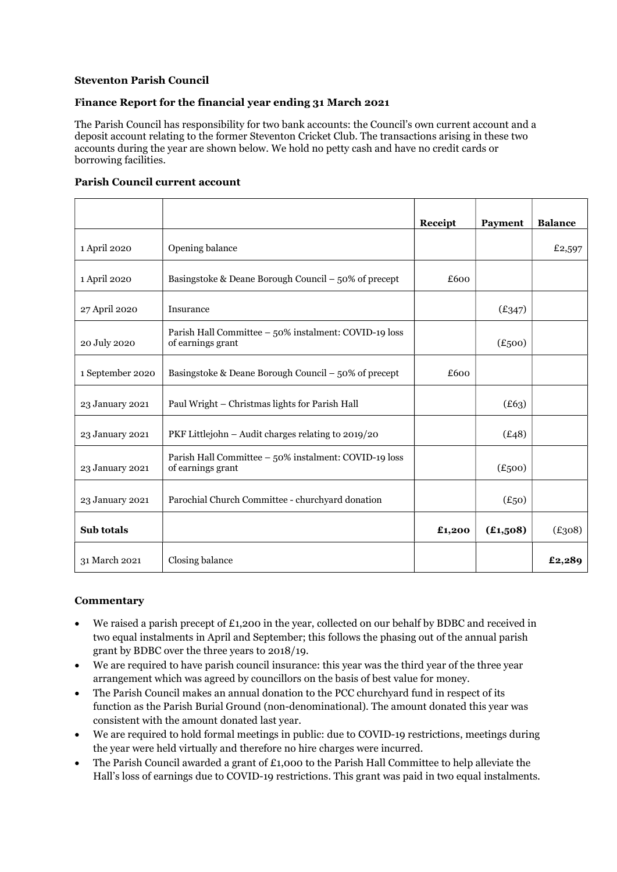# Steventon Parish Council

## Finance Report for the financial year ending 31 March 2021

The Parish Council has responsibility for two bank accounts: the Council's own current account and a deposit account relating to the former Steventon Cricket Club. The transactions arising in these two accounts during the year are shown below. We hold no petty cash and have no credit cards or borrowing facilities.

#### Parish Council current account

|                  |                                                                            | Receipt | <b>Payment</b> | <b>Balance</b> |
|------------------|----------------------------------------------------------------------------|---------|----------------|----------------|
| 1 April 2020     | Opening balance                                                            |         |                | £2,597         |
| 1 April 2020     | Basingstoke & Deane Borough Council $-50\%$ of precept                     | £600    |                |                |
| 27 April 2020    | Insurance                                                                  |         | (E347)         |                |
| 20 July 2020     | Parish Hall Committee - 50% instalment: COVID-19 loss<br>of earnings grant |         | (E500)         |                |
| 1 September 2020 | Basingstoke & Deane Borough Council $-50\%$ of precept                     | £600    |                |                |
| 23 January 2021  | Paul Wright - Christmas lights for Parish Hall                             |         | (E63)          |                |
| 23 January 2021  | PKF Littlejohn – Audit charges relating to 2019/20                         |         | (E48)          |                |
| 23 January 2021  | Parish Hall Committee - 50% instalment: COVID-19 loss<br>of earnings grant |         | $(E_{500})$    |                |
| 23 January 2021  | Parochial Church Committee - churchyard donation                           |         | $(E_{50})$     |                |
| Sub totals       |                                                                            | £1,200  | (E1,508)       | (E308)         |
| 31 March 2021    | Closing balance                                                            |         |                | £2,289         |

## **Commentary**

- We raised a parish precept of £1,200 in the year, collected on our behalf by BDBC and received in two equal instalments in April and September; this follows the phasing out of the annual parish grant by BDBC over the three years to 2018/19.
- We are required to have parish council insurance: this year was the third year of the three year arrangement which was agreed by councillors on the basis of best value for money.
- The Parish Council makes an annual donation to the PCC churchyard fund in respect of its function as the Parish Burial Ground (non-denominational). The amount donated this year was consistent with the amount donated last year.
- We are required to hold formal meetings in public: due to COVID-19 restrictions, meetings during the year were held virtually and therefore no hire charges were incurred.
- The Parish Council awarded a grant of £1,000 to the Parish Hall Committee to help alleviate the Hall's loss of earnings due to COVID-19 restrictions. This grant was paid in two equal instalments.